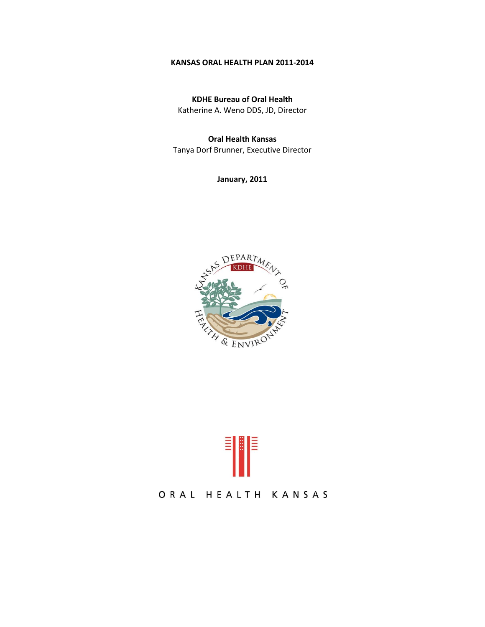## **KANSAS ORAL HEALTH PLAN 2011-2014**

**KDHE Bureau of Oral Health**  Katherine A. Weno DDS, JD, Director

**Oral Health Kansas** Tanya Dorf Brunner, Executive Director

**January, 2011**





# ORAL HEALTH KANSAS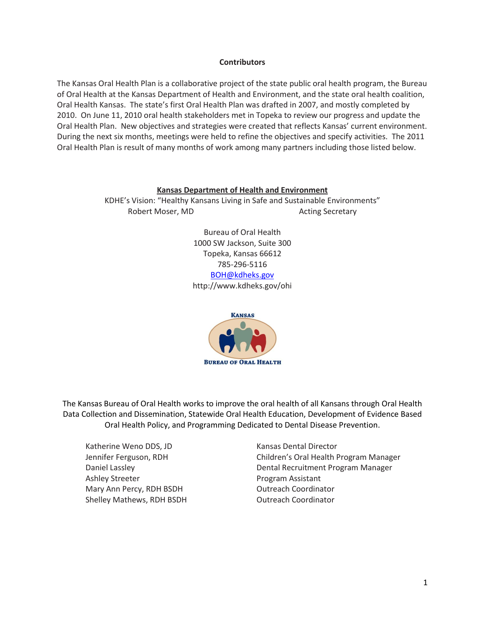## **Contributors**

The Kansas Oral Health Plan is a collaborative project of the state public oral health program, the Bureau of Oral Health at the Kansas Department of Health and Environment, and the state oral health coalition, Oral Health Kansas. The state's first Oral Health Plan was drafted in 2007, and mostly completed by 2010. On June 11, 2010 oral health stakeholders met in Topeka to review our progress and update the Oral Health Plan. New objectives and strategies were created that reflects Kansas' current environment. During the next six months, meetings were held to refine the objectives and specify activities. The 2011 Oral Health Plan is result of many months of work among many partners including those listed below.

## **Kansas Department of Health and Environment**

KDHE's Vision: "Healthy Kansans Living in Safe and Sustainable Environments" Robert Moser, MD Acting Secretary

> Bureau of Oral Health 1000 SW Jackson, Suite 300 Topeka, Kansas 66612 785-296-5116 [BOH@kdheks.gov](mailto:BOH@kdheks.gov) http://www.kdheks.gov/ohi



The Kansas Bureau of Oral Health works to improve the oral health of all Kansans through Oral Health Data Collection and Dissemination, Statewide Oral Health Education, Development of Evidence Based Oral Health Policy, and Programming Dedicated to Dental Disease Prevention.

Katherine Weno DDS, JD Kansas Dental Director Ashley Streeter **Program Assistant** Mary Ann Percy, RDH BSDH COUTREACH Coordinator Shelley Mathews, RDH BSDH **COOLD COOLD COOLD COOLD COOLD ATT** 

Jennifer Ferguson, RDH Children's Oral Health Program Manager Daniel Lassley Dental Recruitment Program Manager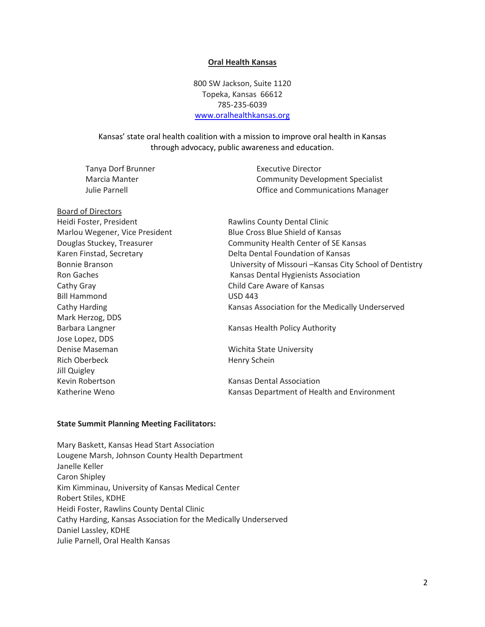#### **Oral Health Kansas**

800 SW Jackson, Suite 1120 Topeka, Kansas 66612 785-235-6039 [www.oralhealthkansas.org](http://www.oralhealthkansas.org/)

## Kansas' state oral health coalition with a mission to improve oral health in Kansas through advocacy, public awareness and education.

Tanya Dorf Brunner **Executive Director** 

Marcia Manter **Community Development Specialist** Julie Parnell Office and Communications Manager

Board of Directors Heidi Foster, President **Rawlins County Dental Clinic** Cathy Gray Child Care Aware of Kansas Bill Hammond USD 443 Mark Herzog, DDS Barbara Langner The Communication of Kansas Health Policy Authority Jose Lopez, DDS Denise Maseman Wichita State University Rich Oberbeck Henry Schein Jill Quigley Kevin Robertson **Kansas Dental Association** 

Marlou Wegener, Vice President Blue Cross Blue Shield of Kansas Douglas Stuckey, Treasurer **Community Health Center of SE Kansas** Karen Finstad, Secretary The Communication of Kansas Bonnie Branson University of Missouri –Kansas City School of Dentistry Ron Gaches **Kansas Dental Hygienists Association** Cathy Harding Kansas Association for the Medically Underserved

Katherine Weno **Kansas Department of Health and Environment** 

## **State Summit Planning Meeting Facilitators:**

Mary Baskett, Kansas Head Start Association Lougene Marsh, Johnson County Health Department Janelle Keller Caron Shipley Kim Kimminau, University of Kansas Medical Center Robert Stiles, KDHE Heidi Foster, Rawlins County Dental Clinic Cathy Harding, Kansas Association for the Medically Underserved Daniel Lassley, KDHE Julie Parnell, Oral Health Kansas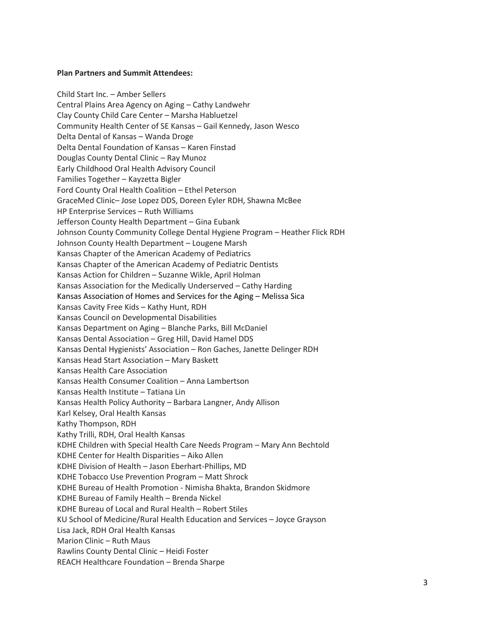#### **Plan Partners and Summit Attendees:**

Child Start Inc. – Amber Sellers Central Plains Area Agency on Aging – Cathy Landwehr Clay County Child Care Center – Marsha Habluetzel Community Health Center of SE Kansas – Gail Kennedy, Jason Wesco Delta Dental of Kansas – Wanda Droge Delta Dental Foundation of Kansas – Karen Finstad Douglas County Dental Clinic – Ray Munoz Early Childhood Oral Health Advisory Council Families Together – Kayzetta Bigler Ford County Oral Health Coalition – Ethel Peterson GraceMed Clinic– Jose Lopez DDS, Doreen Eyler RDH, Shawna McBee HP Enterprise Services – Ruth Williams Jefferson County Health Department – Gina Eubank Johnson County Community College Dental Hygiene Program – Heather Flick RDH Johnson County Health Department – Lougene Marsh Kansas Chapter of the American Academy of Pediatrics Kansas Chapter of the American Academy of Pediatric Dentists Kansas Action for Children – Suzanne Wikle, April Holman Kansas Association for the Medically Underserved – Cathy Harding Kansas Association of Homes and Services for the Aging – Melissa Sica Kansas Cavity Free Kids – Kathy Hunt, RDH Kansas Council on Developmental Disabilities Kansas Department on Aging – Blanche Parks, Bill McDaniel Kansas Dental Association – Greg Hill, David Hamel DDS Kansas Dental Hygienists' Association – Ron Gaches, Janette Delinger RDH Kansas Head Start Association – Mary Baskett Kansas Health Care Association Kansas Health Consumer Coalition – Anna Lambertson Kansas Health Institute – Tatiana Lin Kansas Health Policy Authority – Barbara Langner, Andy Allison Karl Kelsey, Oral Health Kansas Kathy Thompson, RDH Kathy Trilli, RDH, Oral Health Kansas KDHE Children with Special Health Care Needs Program – Mary Ann Bechtold KDHE Center for Health Disparities – Aiko Allen KDHE Division of Health – Jason Eberhart-Phillips, MD KDHE Tobacco Use Prevention Program – Matt Shrock KDHE Bureau of Health Promotion - Nimisha Bhakta, Brandon Skidmore KDHE Bureau of Family Health – Brenda Nickel KDHE Bureau of Local and Rural Health – Robert Stiles KU School of Medicine/Rural Health Education and Services – Joyce Grayson Lisa Jack, RDH Oral Health Kansas Marion Clinic – Ruth Maus Rawlins County Dental Clinic – Heidi Foster REACH Healthcare Foundation – Brenda Sharpe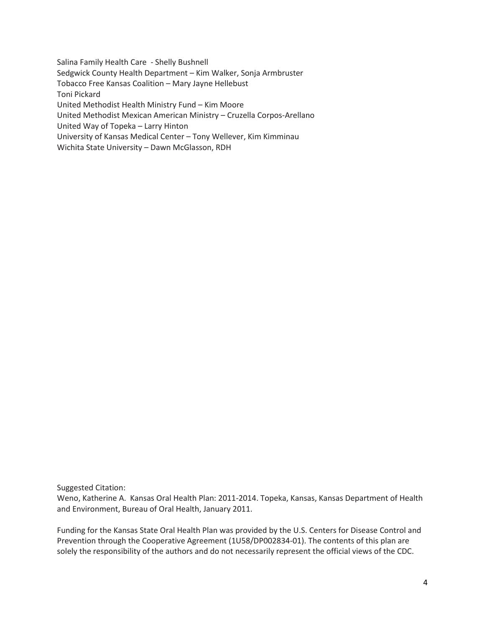Salina Family Health Care - Shelly Bushnell Sedgwick County Health Department – Kim Walker, Sonja Armbruster Tobacco Free Kansas Coalition – Mary Jayne Hellebust Toni Pickard United Methodist Health Ministry Fund – Kim Moore United Methodist Mexican American Ministry – Cruzella Corpos-Arellano United Way of Topeka – Larry Hinton University of Kansas Medical Center – Tony Wellever, Kim Kimminau Wichita State University – Dawn McGlasson, RDH

Suggested Citation:

Weno, Katherine A. Kansas Oral Health Plan: 2011-2014. Topeka, Kansas, Kansas Department of Health and Environment, Bureau of Oral Health, January 2011.

Funding for the Kansas State Oral Health Plan was provided by the U.S. Centers for Disease Control and Prevention through the Cooperative Agreement (1U58/DP002834-01). The contents of this plan are solely the responsibility of the authors and do not necessarily represent the official views of the CDC.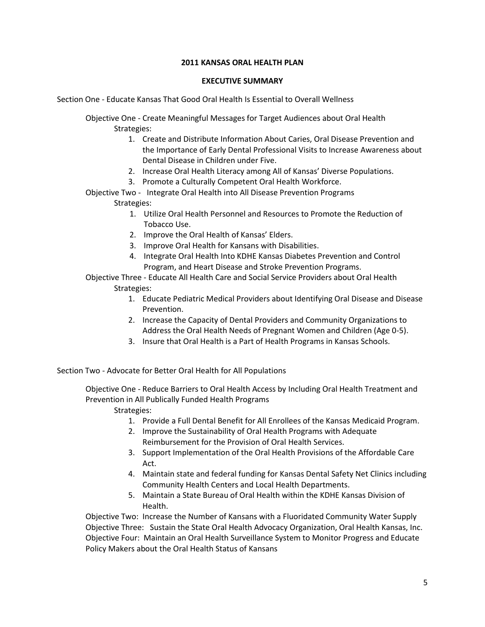## **2011 KANSAS ORAL HEALTH PLAN**

## **EXECUTIVE SUMMARY**

Section One - Educate Kansas That Good Oral Health Is Essential to Overall Wellness

Objective One - Create Meaningful Messages for Target Audiences about Oral Health Strategies:

- 1. Create and Distribute Information About Caries, Oral Disease Prevention and the Importance of Early Dental Professional Visits to Increase Awareness about Dental Disease in Children under Five.
- 2. Increase Oral Health Literacy among All of Kansas' Diverse Populations.
- 3. Promote a Culturally Competent Oral Health Workforce.
- Objective Two Integrate Oral Health into All Disease Prevention Programs

Strategies:

- 1. Utilize Oral Health Personnel and Resources to Promote the Reduction of Tobacco Use.
- 2. Improve the Oral Health of Kansas' Elders.
- 3. Improve Oral Health for Kansans with Disabilities.
- 4. Integrate Oral Health Into KDHE Kansas Diabetes Prevention and Control Program, and Heart Disease and Stroke Prevention Programs.

Objective Three - Educate All Health Care and Social Service Providers about Oral Health Strategies:

- 1. Educate Pediatric Medical Providers about Identifying Oral Disease and Disease Prevention.
- 2. Increase the Capacity of Dental Providers and Community Organizations to Address the Oral Health Needs of Pregnant Women and Children (Age 0-5).
- 3. Insure that Oral Health is a Part of Health Programs in Kansas Schools.

Section Two - Advocate for Better Oral Health for All Populations

Objective One - Reduce Barriers to Oral Health Access by Including Oral Health Treatment and Prevention in All Publically Funded Health Programs

Strategies:

- 1. Provide a Full Dental Benefit for All Enrollees of the Kansas Medicaid Program.
- 2. Improve the Sustainability of Oral Health Programs with Adequate Reimbursement for the Provision of Oral Health Services.
- 3. Support Implementation of the Oral Health Provisions of the Affordable Care Act.
- 4. Maintain state and federal funding for Kansas Dental Safety Net Clinics including Community Health Centers and Local Health Departments.
- 5. Maintain a State Bureau of Oral Health within the KDHE Kansas Division of Health.

Objective Two: Increase the Number of Kansans with a Fluoridated Community Water Supply Objective Three: Sustain the State Oral Health Advocacy Organization, Oral Health Kansas, Inc. Objective Four: Maintain an Oral Health Surveillance System to Monitor Progress and Educate Policy Makers about the Oral Health Status of Kansans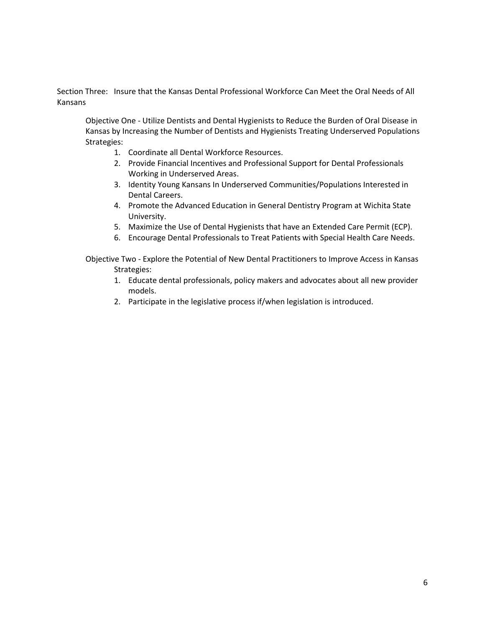Section Three: Insure that the Kansas Dental Professional Workforce Can Meet the Oral Needs of All Kansans

Objective One - Utilize Dentists and Dental Hygienists to Reduce the Burden of Oral Disease in Kansas by Increasing the Number of Dentists and Hygienists Treating Underserved Populations Strategies:

- 1. Coordinate all Dental Workforce Resources.
- 2. Provide Financial Incentives and Professional Support for Dental Professionals Working in Underserved Areas.
- 3. Identity Young Kansans In Underserved Communities/Populations Interested in Dental Careers.
- 4. Promote the Advanced Education in General Dentistry Program at Wichita State University.
- 5. Maximize the Use of Dental Hygienists that have an Extended Care Permit (ECP).
- 6. Encourage Dental Professionals to Treat Patients with Special Health Care Needs.

Objective Two - Explore the Potential of New Dental Practitioners to Improve Access in Kansas Strategies:

- 1. Educate dental professionals, policy makers and advocates about all new provider models.
- 2. Participate in the legislative process if/when legislation is introduced.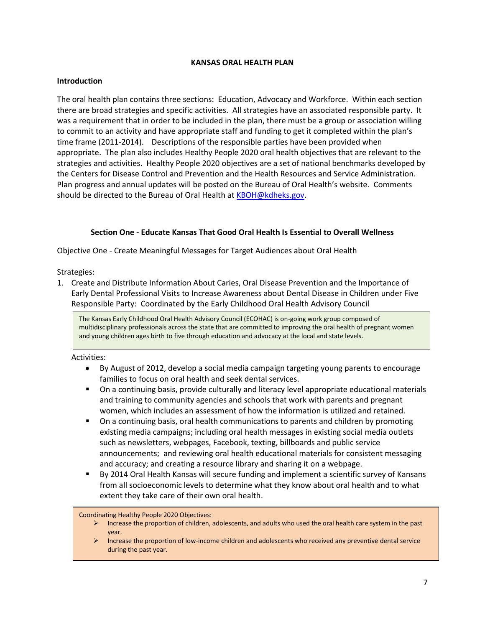## **KANSAS ORAL HEALTH PLAN**

## **Introduction**

The oral health plan contains three sections: Education, Advocacy and Workforce. Within each section there are broad strategies and specific activities. All strategies have an associated responsible party. It was a requirement that in order to be included in the plan, there must be a group or association willing to commit to an activity and have appropriate staff and funding to get it completed within the plan's time frame (2011-2014). Descriptions of the responsible parties have been provided when appropriate. The plan also includes Healthy People 2020 oral health objectives that are relevant to the strategies and activities. Healthy People 2020 objectives are a set of national benchmarks developed by the Centers for Disease Control and Prevention and the Health Resources and Service Administration. Plan progress and annual updates will be posted on the Bureau of Oral Health's website. Comments should be directed to the Bureau of Oral Health a[t KBOH@kdheks.gov.](mailto:KBOH@kdheks.gov)

## **Section One - Educate Kansas That Good Oral Health Is Essential to Overall Wellness**

Objective One - Create Meaningful Messages for Target Audiences about Oral Health

Strategies:

1. Create and Distribute Information About Caries, Oral Disease Prevention and the Importance of Early Dental Professional Visits to Increase Awareness about Dental Disease in Children under Five Responsible Party: Coordinated by the Early Childhood Oral Health Advisory Council

The Kansas Early Childhood Oral Health Advisory Council (ECOHAC) is on-going work group composed of multidisciplinary professionals across the state that are committed to improving the oral health of pregnant women and young children ages birth to five through education and advocacy at the local and state levels.

## Activities:

- By August of 2012, develop a social media campaign targeting young parents to encourage  $\bullet$ families to focus on oral health and seek dental services.
- On a continuing basis, provide culturally and literacy level appropriate educational materials and training to community agencies and schools that work with parents and pregnant women, which includes an assessment of how the information is utilized and retained.
- **On a continuing basis, oral health communications to parents and children by promoting** existing media campaigns; including oral health messages in existing social media outlets such as newsletters, webpages, Facebook, texting, billboards and public service announcements; and reviewing oral health educational materials for consistent messaging and accuracy; and creating a resource library and sharing it on a webpage.
- By 2014 Oral Health Kansas will secure funding and implement a scientific survey of Kansans from all socioeconomic levels to determine what they know about oral health and to what extent they take care of their own oral health.

Coordinating Healthy People 2020 Objectives:

- $\triangleright$  Increase the proportion of children, adolescents, and adults who used the oral health care system in the past year.
- Increase the proportion of low-income children and adolescents who received any preventive dental service during the past year.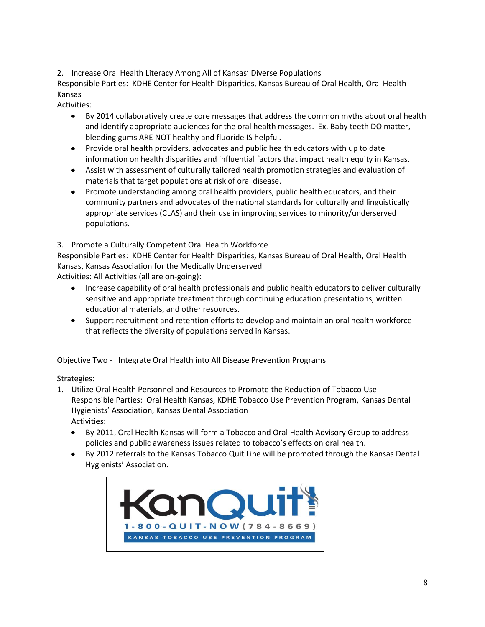2. Increase Oral Health Literacy Among All of Kansas' Diverse Populations

Responsible Parties: KDHE Center for Health Disparities, Kansas Bureau of Oral Health, Oral Health Kansas

Activities:

- $\bullet$ By 2014 collaboratively create core messages that address the common myths about oral health and identify appropriate audiences for the oral health messages. Ex. Baby teeth DO matter, bleeding gums ARE NOT healthy and fluoride IS helpful.
- Provide oral health providers, advocates and public health educators with up to date information on health disparities and influential factors that impact health equity in Kansas.
- Assist with assessment of culturally tailored health promotion strategies and evaluation of materials that target populations at risk of oral disease.
- Promote understanding among oral health providers, public health educators, and their community partners and advocates of the national standards for culturally and linguistically appropriate services (CLAS) and their use in improving services to minority/underserved populations.

3. Promote a Culturally Competent Oral Health Workforce

Responsible Parties: KDHE Center for Health Disparities, Kansas Bureau of Oral Health, Oral Health Kansas, Kansas Association for the Medically Underserved

Activities: All Activities (all are on-going):

- Increase capability of oral health professionals and public health educators to deliver culturally sensitive and appropriate treatment through continuing education presentations, written educational materials, and other resources.
- Support recruitment and retention efforts to develop and maintain an oral health workforce that reflects the diversity of populations served in Kansas.

Objective Two - Integrate Oral Health into All Disease Prevention Programs

Strategies:

- 1. Utilize Oral Health Personnel and Resources to Promote the Reduction of Tobacco Use Responsible Parties: Oral Health Kansas, KDHE Tobacco Use Prevention Program, Kansas Dental Hygienists' Association, Kansas Dental Association Activities:
	- By 2011, Oral Health Kansas will form a Tobacco and Oral Health Advisory Group to address policies and public awareness issues related to tobacco's effects on oral health.
	- By 2012 referrals to the Kansas Tobacco Quit Line will be promoted through the Kansas Dental Hygienists' Association.

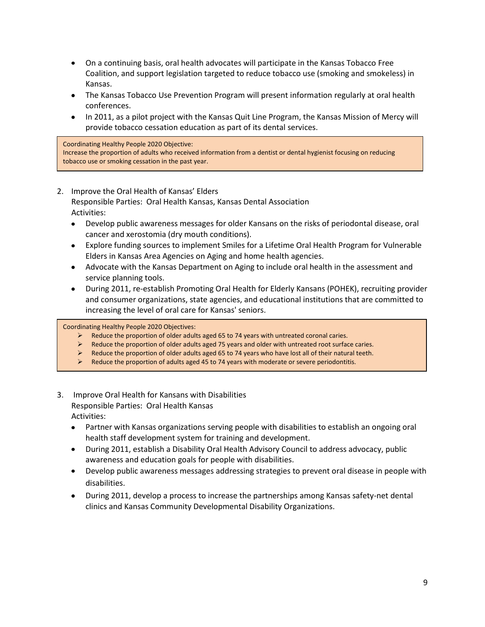- On a continuing basis, oral health advocates will participate in the Kansas Tobacco Free Coalition, and support legislation targeted to reduce tobacco use (smoking and smokeless) in Kansas.
- The Kansas Tobacco Use Prevention Program will present information regularly at oral health conferences.
- In 2011, as a pilot project with the Kansas Quit Line Program, the Kansas Mission of Mercy will provide tobacco cessation education as part of its dental services.

#### Coordinating Healthy People 2020 Objective:

Increase the proportion of adults who received information from a dentist or dental hygienist focusing on reducing tobacco use or smoking cessation in the past year.

## 2. Improve the Oral Health of Kansas' Elders

Responsible Parties: Oral Health Kansas, Kansas Dental Association Activities:

- Develop public awareness messages for older Kansans on the risks of periodontal disease, oral  $\bullet$ cancer and xerostomia (dry mouth conditions).
- Explore funding sources to implement Smiles for a Lifetime Oral Health Program for Vulnerable Elders in Kansas Area Agencies on Aging and home health agencies.
- Advocate with the Kansas Department on Aging to include oral health in the assessment and service planning tools.
- During 2011, re-establish Promoting Oral Health for Elderly Kansans (POHEK), recruiting provider and consumer organizations, state agencies, and educational institutions that are committed to increasing the level of oral care for Kansas' seniors.

Coordinating Healthy People 2020 Objectives:

- Reduce the proportion of older adults aged 65 to 74 years with untreated coronal caries.
- $\triangleright$  Reduce the proportion of older adults aged 75 years and older with untreated root surface caries.
- $\triangleright$  Reduce the proportion of older adults aged 65 to 74 years who have lost all of their natural teeth.
- $\triangleright$  Reduce the proportion of adults aged 45 to 74 years with moderate or severe periodontitis.
- 3. Improve Oral Health for Kansans with Disabilities Responsible Parties: Oral Health Kansas Activities:
	- Partner with Kansas organizations serving people with disabilities to establish an ongoing oral health staff development system for training and development.
	- During 2011, establish a Disability Oral Health Advisory Council to address advocacy, public awareness and education goals for people with disabilities.
	- Develop public awareness messages addressing strategies to prevent oral disease in people with disabilities.
	- During 2011, develop a process to increase the partnerships among Kansas safety-net dental clinics and Kansas Community Developmental Disability Organizations.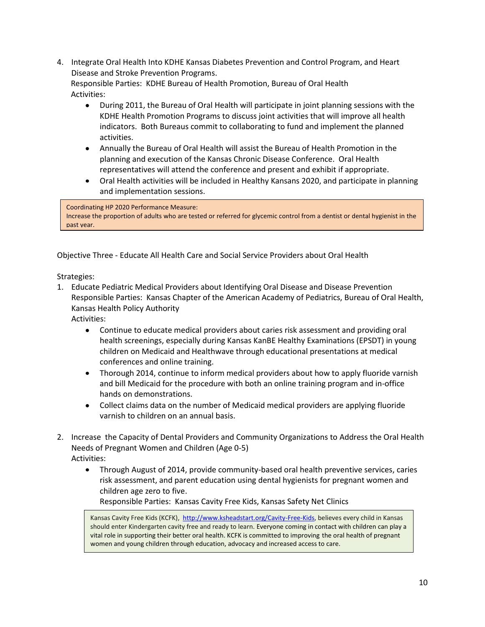4. Integrate Oral Health Into KDHE Kansas Diabetes Prevention and Control Program, and Heart Disease and Stroke Prevention Programs.

 Responsible Parties: KDHE Bureau of Health Promotion, Bureau of Oral Health Activities:

- During 2011, the Bureau of Oral Health will participate in joint planning sessions with the  $\bullet$ KDHE Health Promotion Programs to discuss joint activities that will improve all health indicators. Both Bureaus commit to collaborating to fund and implement the planned activities.
- Annually the Bureau of Oral Health will assist the Bureau of Health Promotion in the planning and execution of the Kansas Chronic Disease Conference. Oral Health representatives will attend the conference and present and exhibit if appropriate.
- Oral Health activities will be included in Healthy Kansans 2020, and participate in planning  $\bullet$ and implementation sessions.

## Coordinating HP 2020 Performance Measure: Increase the proportion of adults who are tested or referred for glycemic control from a dentist or dental hygienist in the past year.

Objective Three - Educate All Health Care and Social Service Providers about Oral Health

Strategies:

1. Educate Pediatric Medical Providers about Identifying Oral Disease and Disease Prevention Responsible Parties: Kansas Chapter of the American Academy of Pediatrics, Bureau of Oral Health, Kansas Health Policy Authority

Activities:

- Continue to educate medical providers about caries risk assessment and providing oral  $\bullet$ health screenings, especially during Kansas KanBE Healthy Examinations (EPSDT) in young children on Medicaid and Healthwave through educational presentations at medical conferences and online training.
- Thorough 2014, continue to inform medical providers about how to apply fluoride varnish and bill Medicaid for the procedure with both an online training program and in-office hands on demonstrations.
- Collect claims data on the number of Medicaid medical providers are applying fluoride varnish to children on an annual basis.
- 2. Increase the Capacity of Dental Providers and Community Organizations to Address the Oral Health Needs of Pregnant Women and Children (Age 0-5) Activities:
	- $\bullet$ Through August of 2014, provide community-based oral health preventive services, caries risk assessment, and parent education using dental hygienists for pregnant women and children age zero to five.

Responsible Parties: Kansas Cavity Free Kids, Kansas Safety Net Clinics

Kansas Cavity Free Kids (KCFK), [http://www.ksheadstart.org/Cavity-Free-Kids,](http://www.ksheadstart.org/Cavity-Free-Kids) believes every child in Kansas should enter Kindergarten cavity free and ready to learn. Everyone coming in contact with children can play a vital role in supporting their better oral health. KCFK is committed to improving the oral health of pregnant women and young children through education, advocacy and increased access to care.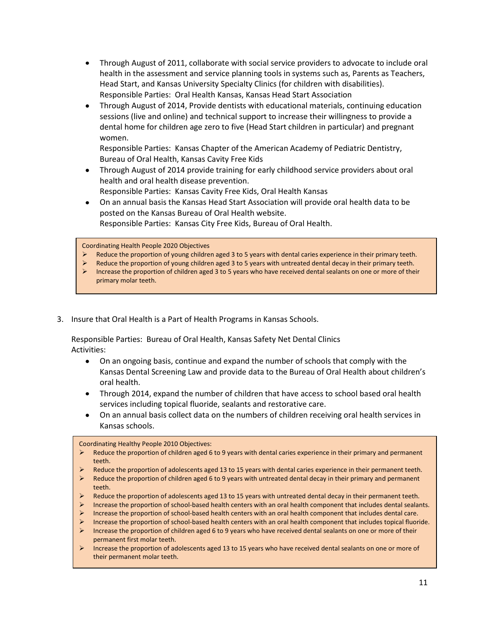- Through August of 2011, collaborate with social service providers to advocate to include oral health in the assessment and service planning tools in systems such as, Parents as Teachers, Head Start, and Kansas University Specialty Clinics (for children with disabilities). Responsible Parties: Oral Health Kansas, Kansas Head Start Association
- Through August of 2014, Provide dentists with educational materials, continuing education sessions (live and online) and technical support to increase their willingness to provide a dental home for children age zero to five (Head Start children in particular) and pregnant women.

Responsible Parties: Kansas Chapter of the American Academy of Pediatric Dentistry, Bureau of Oral Health, Kansas Cavity Free Kids

- $\bullet$ Through August of 2014 provide training for early childhood service providers about oral health and oral health disease prevention. Responsible Parties: Kansas Cavity Free Kids, Oral Health Kansas
- On an annual basis the Kansas Head Start Association will provide oral health data to be posted on the Kansas Bureau of Oral Health website. Responsible Parties: Kansas City Free Kids, Bureau of Oral Health.

Coordinating Health People 2020 Objectives

- Reduce the proportion of young children aged 3 to 5 years with dental caries experience in their primary teeth.
- Reduce the proportion of young children aged 3 to 5 years with untreated dental decay in their primary teeth.
- Increase the proportion of children aged 3 to 5 years who have received dental sealants on one or more of their primary molar teeth.
- 3. Insure that Oral Health is a Part of Health Programs in Kansas Schools.

Responsible Parties: Bureau of Oral Health, Kansas Safety Net Dental Clinics Activities:

- $\bullet$ On an ongoing basis, continue and expand the number of schools that comply with the Kansas Dental Screening Law and provide data to the Bureau of Oral Health about children's oral health.
- Through 2014, expand the number of children that have access to school based oral health services including topical fluoride, sealants and restorative care.
- On an annual basis collect data on the numbers of children receiving oral health services in Kansas schools.

#### Coordinating Healthy People 2010 Objectives:

- $\triangleright$  Reduce the proportion of children aged 6 to 9 years with dental caries experience in their primary and permanent teeth.
- $\triangleright$  Reduce the proportion of adolescents aged 13 to 15 years with dental caries experience in their permanent teeth.
- $\triangleright$  Reduce the proportion of children aged 6 to 9 years with untreated dental decay in their primary and permanent teeth.
- $\triangleright$  Reduce the proportion of adolescents aged 13 to 15 years with untreated dental decay in their permanent teeth.
- Increase the proportion of school-based health centers with an oral health component that includes dental sealants.
- Increase the proportion of school-based health centers with an oral health component that includes dental care.
- Increase the proportion of school-based health centers with an oral health component that includes topical fluoride.
- Increase the proportion of children aged 6 to 9 years who have received dental sealants on one or more of their permanent first molar teeth.
- Increase the proportion of adolescents aged 13 to 15 years who have received dental sealants on one or more of their permanent molar teeth.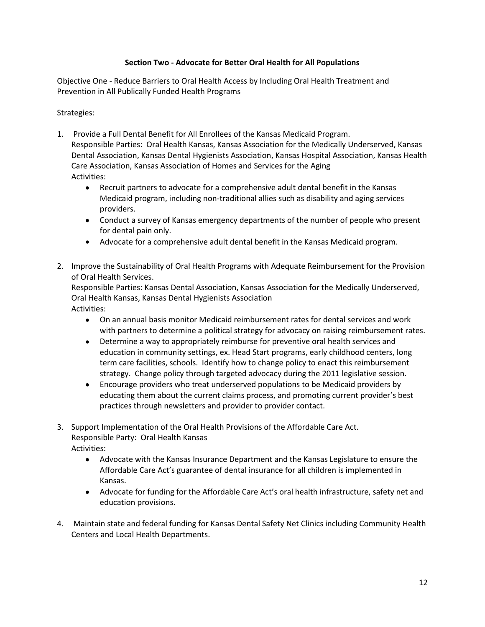## **Section Two - Advocate for Better Oral Health for All Populations**

Objective One - Reduce Barriers to Oral Health Access by Including Oral Health Treatment and Prevention in All Publically Funded Health Programs

Strategies:

- 1. Provide a Full Dental Benefit for All Enrollees of the Kansas Medicaid Program. Responsible Parties: Oral Health Kansas, Kansas Association for the Medically Underserved, Kansas Dental Association, Kansas Dental Hygienists Association, Kansas Hospital Association, Kansas Health Care Association, Kansas Association of Homes and Services for the Aging Activities:
	- Recruit partners to advocate for a comprehensive adult dental benefit in the Kansas  $\bullet$ Medicaid program, including non-traditional allies such as disability and aging services providers.
	- Conduct a survey of Kansas emergency departments of the number of people who present for dental pain only.
	- Advocate for a comprehensive adult dental benefit in the Kansas Medicaid program.
- 2. Improve the Sustainability of Oral Health Programs with Adequate Reimbursement for the Provision of Oral Health Services.

Responsible Parties: Kansas Dental Association, Kansas Association for the Medically Underserved, Oral Health Kansas, Kansas Dental Hygienists Association Activities:

- On an annual basis monitor Medicaid reimbursement rates for dental services and work with partners to determine a political strategy for advocacy on raising reimbursement rates.
- Determine a way to appropriately reimburse for preventive oral health services and education in community settings, ex. Head Start programs, early childhood centers, long term care facilities, schools. Identify how to change policy to enact this reimbursement strategy. Change policy through targeted advocacy during the 2011 legislative session.
- Encourage providers who treat underserved populations to be Medicaid providers by educating them about the current claims process, and promoting current provider's best practices through newsletters and provider to provider contact.
- 3. Support Implementation of the Oral Health Provisions of the Affordable Care Act. Responsible Party: Oral Health Kansas Activities:
	- Advocate with the Kansas Insurance Department and the Kansas Legislature to ensure the Affordable Care Act's guarantee of dental insurance for all children is implemented in Kansas.
	- Advocate for funding for the Affordable Care Act's oral health infrastructure, safety net and education provisions.
- 4. Maintain state and federal funding for Kansas Dental Safety Net Clinics including Community Health Centers and Local Health Departments.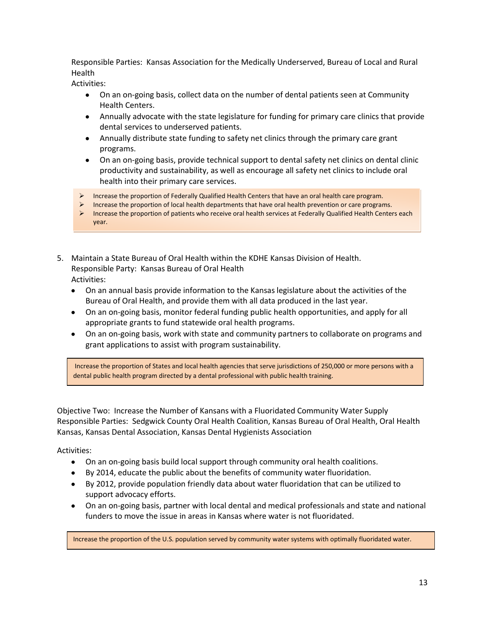Responsible Parties: Kansas Association for the Medically Underserved, Bureau of Local and Rural Health

Activities:

- On an on-going basis, collect data on the number of dental patients seen at Community Health Centers.
- Annually advocate with the state legislature for funding for primary care clinics that provide dental services to underserved patients.
- Annually distribute state funding to safety net clinics through the primary care grant programs.
- On an on-going basis, provide technical support to dental safety net clinics on dental clinic productivity and sustainability, as well as encourage all safety net clinics to include oral health into their primary care services.
- Increase the proportion of Federally Qualified Health Centers that have an oral health care program.
- Increase the proportion of local health departments that have oral health prevention or care programs.
- Increase the proportion of patients who receive oral health services at Federally Qualified Health Centers each year.
- 5. Maintain a State Bureau of Oral Health within the KDHE Kansas Division of Health. Responsible Party: Kansas Bureau of Oral Health Activities:
	- On an annual basis provide information to the Kansas legislature about the activities of the Bureau of Oral Health, and provide them with all data produced in the last year.
	- On an on-going basis, monitor federal funding public health opportunities, and apply for all appropriate grants to fund statewide oral health programs.
	- On an on-going basis, work with state and community partners to collaborate on programs and grant applications to assist with program sustainability.

Increase the proportion of States and local health agencies that serve jurisdictions of 250,000 or more persons with a dental public health program directed by a dental professional with public health training.

Objective Two: Increase the Number of Kansans with a Fluoridated Community Water Supply Responsible Parties: Sedgwick County Oral Health Coalition, Kansas Bureau of Oral Health, Oral Health Kansas, Kansas Dental Association, Kansas Dental Hygienists Association

Activities:

- On an on-going basis build local support through community oral health coalitions.
- By 2014, educate the public about the benefits of community water fluoridation.
- By 2012, provide population friendly data about water fluoridation that can be utilized to support advocacy efforts.
- On an on-going basis, partner with local dental and medical professionals and state and national funders to move the issue in areas in Kansas where water is not fluoridated.

Increase the proportion of the U.S. population served by community water systems with optimally fluoridated water.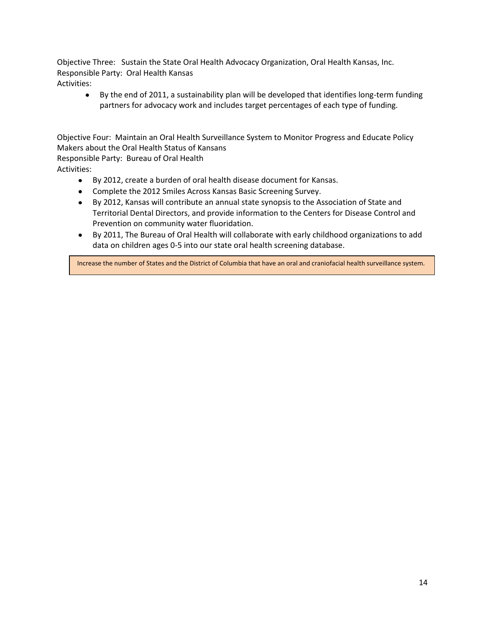Objective Three: Sustain the State Oral Health Advocacy Organization, Oral Health Kansas, Inc. Responsible Party: Oral Health Kansas Activities:

By the end of 2011, a sustainability plan will be developed that identifies long-term funding  $\bullet$ partners for advocacy work and includes target percentages of each type of funding.

Objective Four: Maintain an Oral Health Surveillance System to Monitor Progress and Educate Policy Makers about the Oral Health Status of Kansans

Responsible Party: Bureau of Oral Health Activities:

- By 2012, create a burden of oral health disease document for Kansas.
- Complete the 2012 Smiles Across Kansas Basic Screening Survey.
- By 2012, Kansas will contribute an annual state synopsis to the Association of State and Territorial Dental Directors, and provide information to the Centers for Disease Control and Prevention on community water fluoridation.
- By 2011, The Bureau of Oral Health will collaborate with early childhood organizations to add data on children ages 0-5 into our state oral health screening database.

Increase the number of States and the District of Columbia that have an oral and craniofacial health surveillance system.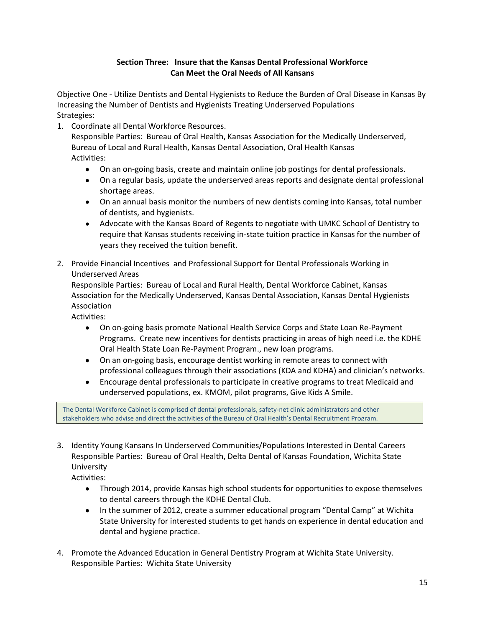# **Section Three: Insure that the Kansas Dental Professional Workforce Can Meet the Oral Needs of All Kansans**

Objective One - Utilize Dentists and Dental Hygienists to Reduce the Burden of Oral Disease in Kansas By Increasing the Number of Dentists and Hygienists Treating Underserved Populations Strategies:

1. Coordinate all Dental Workforce Resources.

Responsible Parties: Bureau of Oral Health, Kansas Association for the Medically Underserved, Bureau of Local and Rural Health, Kansas Dental Association, Oral Health Kansas Activities:

- On an on-going basis, create and maintain online job postings for dental professionals.
- On a regular basis, update the underserved areas reports and designate dental professional shortage areas.
- On an annual basis monitor the numbers of new dentists coming into Kansas, total number of dentists, and hygienists.
- Advocate with the Kansas Board of Regents to negotiate with UMKC School of Dentistry to require that Kansas students receiving in-state tuition practice in Kansas for the number of years they received the tuition benefit.
- 2. Provide Financial Incentives and Professional Support for Dental Professionals Working in Underserved Areas

Responsible Parties: Bureau of Local and Rural Health, Dental Workforce Cabinet, Kansas Association for the Medically Underserved, Kansas Dental Association, Kansas Dental Hygienists Association

Activities:

- On on-going basis promote National Health Service Corps and State Loan Re-Payment Programs. Create new incentives for dentists practicing in areas of high need i.e. the KDHE Oral Health State Loan Re-Payment Program., new loan programs.
- On an on-going basis, encourage dentist working in remote areas to connect with professional colleagues through their associations (KDA and KDHA) and clinician's networks.
- Encourage dental professionals to participate in creative programs to treat Medicaid and underserved populations, ex. KMOM, pilot programs, Give Kids A Smile.

The Dental Workforce Cabinet is comprised of dental professionals, safety-net clinic administrators and other stakeholders who advise and direct the activities of the Bureau of Oral Health's Dental Recruitment Program.

- 3. Identity Young Kansans In Underserved Communities/Populations Interested in Dental Careers Responsible Parties: Bureau of Oral Health, Delta Dental of Kansas Foundation, Wichita State University
	- Activities:
		- Through 2014, provide Kansas high school students for opportunities to expose themselves to dental careers through the KDHE Dental Club.
		- In the summer of 2012, create a summer educational program "Dental Camp" at Wichita State University for interested students to get hands on experience in dental education and dental and hygiene practice.
- 4. Promote the Advanced Education in General Dentistry Program at Wichita State University. Responsible Parties: Wichita State University